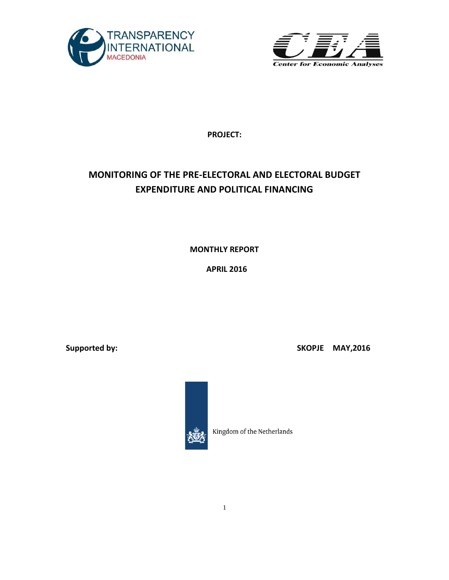



**PROJECT:**

# **MONITORING OF THE PRE-ELECTORAL AND ELECTORAL BUDGET EXPENDITURE AND POLITICAL FINANCING**

**MONTHLY REPORT** 

**APRIL 2016**

**Supported by:** Supported by: SKOPJE MAY, 2016



Kingdom of the Netherlands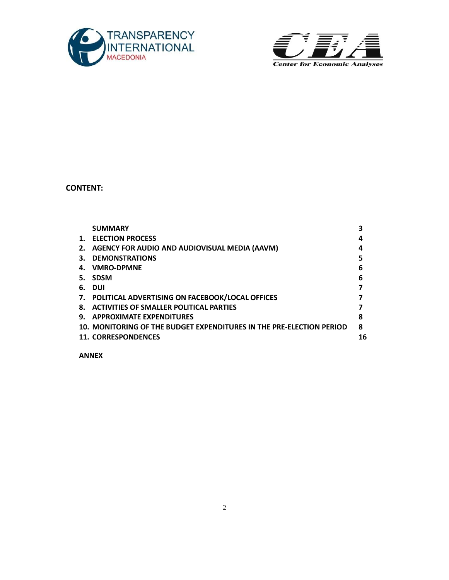



**CONTENT:**

|    | <b>SUMMARY</b>                                                       |    |
|----|----------------------------------------------------------------------|----|
| 1. | <b>ELECTION PROCESS</b>                                              | 4  |
| 2. | AGENCY FOR AUDIO AND AUDIOVISUAL MEDIA (AAVM)                        | 4  |
| З. | <b>DEMONSTRATIONS</b>                                                | 5  |
| 4. | <b>VMRO-DPMNE</b>                                                    | 6  |
| 5. | <b>SDSM</b>                                                          | 6  |
| 6. | DUI                                                                  |    |
| 7. | POLITICAL ADVERTISING ON FACEBOOK/LOCAL OFFICES                      |    |
| 8. | <b>ACTIVITIES OF SMALLER POLITICAL PARTIES</b>                       |    |
| 9. | <b>APPROXIMATE EXPENDITURES</b>                                      | 8  |
|    | 10. MONITORING OF THE BUDGET EXPENDITURES IN THE PRE-ELECTION PERIOD | 8  |
|    | <b>11. CORRESPONDENCES</b>                                           | 16 |
|    |                                                                      |    |

**ANNEX**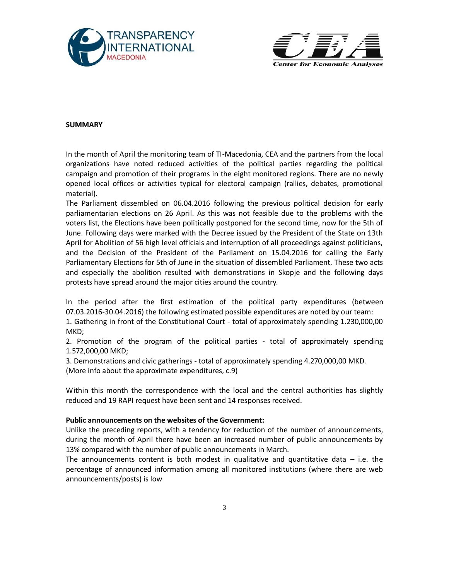



#### **SUMMARY**

In the month of April the monitoring team of TI-Macedonia, CEA and the partners from the local organizations have noted reduced activities of the political parties regarding the political campaign and promotion of their programs in the eight monitored regions. There are no newly opened local offices or activities typical for electoral campaign (rallies, debates, promotional material).

The Parliament dissembled on 06.04.2016 following the previous political decision for early parliamentarian elections on 26 April. As this was not feasible due to the problems with the voters list, the Elections have been politically postponed for the second time, now for the 5th of June. Following days were marked with the Decree issued by the President of the State on 13th April for Abolition of 56 high level officials and interruption of all proceedings against politicians, and the Decision of the President of the Parliament on 15.04.2016 for calling the Early Parliamentary Elections for 5th of June in the situation of dissembled Parliament. These two acts and especially the abolition resulted with demonstrations in Skopje and the following days protests have spread around the major cities around the country.

In the period after the first estimation of the political party expenditures (between 07.03.2016-30.04.2016) the following estimated possible expenditures are noted by our team:

1. Gathering in front of the Constitutional Court - total of approximately spending 1.230,000,00 MKD;

2. Promotion of the program of the political parties - total of approximately spending 1.572,000,00 MKD;

3. Demonstrations and civic gatherings - total of approximately spending 4.270,000,00 MKD. (More info about the approximate expenditures, c.9)

Within this month the correspondence with the local and the central authorities has slightly reduced and 19 RAPI request have been sent and 14 responses received.

#### **Public announcements on the websites of the Government:**

Unlike the preceding reports, with a tendency for reduction of the number of announcements, during the month of April there have been an increased number of public announcements by 13% compared with the number of public announcements in March.

The announcements content is both modest in qualitative and quantitative data  $-$  i.e. the percentage of announced information among all monitored institutions (where there are web announcements/posts) is low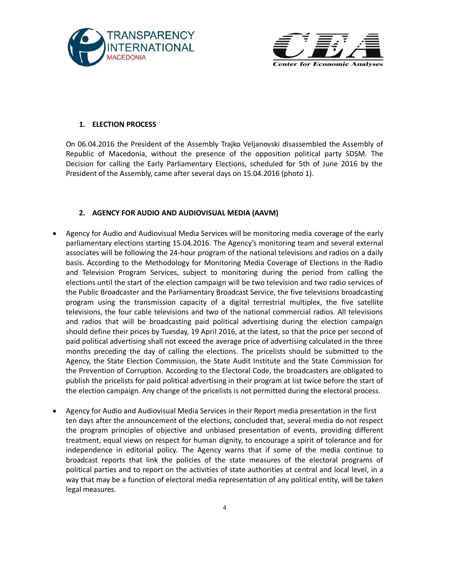



#### **1. ELECTION PROCESS**

On 06.04.2016 the President of the Assembly Trajko Veljanovski disassembled the Assembly of Republic of Macedonia, without the presence of the opposition political party SDSM. The Decision for calling the Early Parliamentary Elections, scheduled for 5th of June 2016 by the President of the Assembly, came after several days on 15.04.2016 (photo 1).

#### **2. AGENCY FOR AUDIO AND AUDIOVISUAL MEDIA (AAVM)**

- Agency for Audio and Audiovisual Media Services will be monitoring media coverage of the early parliamentary elections starting 15.04.2016. The Agency's monitoring team and several external associates will be following the 24-hour program of the national televisions and radios on a daily basis. According to the Methodology for Monitoring Media Coverage of Elections in the Radio and Television Program Services, subject to monitoring during the period from calling the elections until the start of the election campaign will be two television and two radio services of the Public Broadcaster and the Parliamentary Broadcast Service, the five televisions broadcasting program using the transmission capacity of a digital terrestrial multiplex, the five satellite televisions, the four cable televisions and two of the national commercial radios. All televisions and radios that will be broadcasting paid political advertising during the election campaign should define their prices by Tuesday, 19 April 2016, at the latest, so that the price per second of paid political advertising shall not exceed the average price of advertising calculated in the three months preceding the day of calling the elections. The pricelists should be submitted to the Agency, the State Election Commission, the State Audit Institute and the State Commission for the Prevention of Corruption. According to the Electoral Code, the broadcasters are obligated to publish the pricelists for paid political advertising in their program at list twice before the start of the election campaign. Any change of the pricelists is not permitted during the electoral process.
- Agency for Audio and Audiovisual Media Services in their Report media presentation in the first ten days after the announcement of the elections, concluded that, several media do not respect the program principles of objective and unbiased presentation of events, providing different treatment, equal views on respect for human dignity, to encourage a spirit of tolerance and for independence in editorial policy. The Agency warns that if some of the media continue to broadcast reports that link the policies of the state measures of the electoral programs of political parties and to report on the activities of state authorities at central and local level, in a way that may be a function of electoral media representation of any political entity, will be taken legal measures.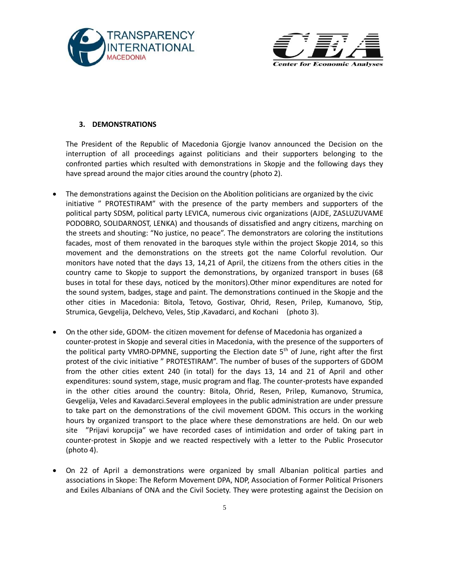



#### **3. DEMONSTRATIONS**

The President of the Republic of Macedonia Gjorgje Ivanov announced the Decision on the interruption of all proceedings against politicians and their supporters belonging to the confronted parties which resulted with demonstrations in Skopje and the following days they have spread around the major cities around the country (photo 2).

- The demonstrations against the Decision on the Abolition politicians are organized by the civic initiative " PROTESTIRAM" with the presence of the party members and supporters of the political party SDSM, political party LEVICA, numerous civic organizations (AJDE, ZASLUZUVAME PODOBRO, SOLIDARNOST, LENKA) and thousands of dissatisfied and angry citizens, marching on the streets and shouting: "No justice, no peace". The demonstrators are coloring the institutions facades, most of them renovated in the baroques style within the project Skopje 2014, so this movement and the demonstrations on the streets got the name Colorful revolution. Our monitors have noted that the days 13, 14,21 of April, the citizens from the others cities in the country came to Skopje to support the demonstrations, by organized transport in buses (68 buses in total for these days, noticed by the monitors).Other minor expenditures are noted for the sound system, badges, stage and paint. The demonstrations continued in the Skopje and the other cities in Macedonia: Bitola, Tetovo, Gostivar, Ohrid, Resen, Prilep, Kumanovo, Stip, Strumica, Gevgelija, Delchevo, Veles, Stip ,Kavadarci, and Kochani (photo 3).
- On the other side, GDOM- the citizen movement for defense of Macedonia has organized a counter-protest in Skopje and several cities in Macedonia, with the presence of the supporters of the political party VMRO-DPMNE, supporting the Election date  $5<sup>th</sup>$  of June, right after the first protest of the civic initiative " PROTESTIRAM". The number of buses of the supporters of GDOM from the other cities extent 240 (in total) for the days 13, 14 and 21 of April and other expenditures: sound system, stage, music program and flag. The counter-protests have expanded in the other cities around the country: Bitola, Ohrid, Resen, Prilep, Kumanovo, Strumica, Gevgelija, Veles and Kavadarci.Several employees in the public administration are under pressure to take part on the demonstrations of the civil movement GDOM. This occurs in the working hours by organized transport to the place where these demonstrations are held. On our web site "Prijavi korupcija" we have recorded cases of intimidation and order of taking part in counter-protest in Skopje and we reacted respectively with a letter to the Public Prosecutor (photo 4).
- On 22 of April a demonstrations were organized by small Albanian political parties and associations in Skope: The Reform Movement DPA, NDP, Association of Former Political Prisoners and Exiles Albanians of ONA and the Civil Society. They were protesting against the Decision on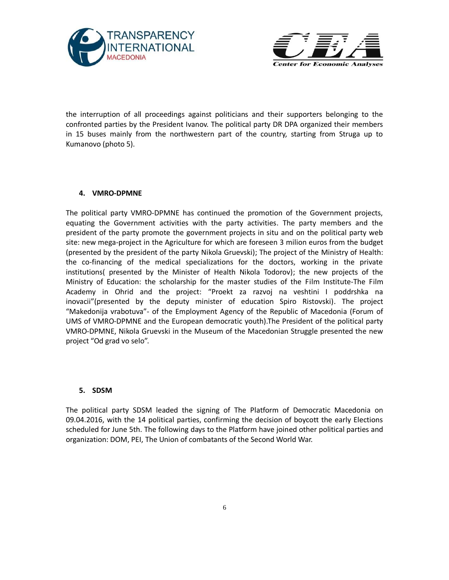



the interruption of all proceedings against politicians and their supporters belonging to the confronted parties by the President Ivanov. The political party DR DPA organized their members in 15 buses mainly from the northwestern part of the country, starting from Struga up to Kumanovo (photo 5).

## **4. VMRO-DPMNE**

The political party VMRO-DPMNE has continued the promotion of the Government projects, equating the Government activities with the party activities. The party members and the president of the party promote the government projects in situ and on the political party web site: new mega-project in the Agriculture for which are foreseen 3 milion euros from the budget (presented by the president of the party Nikola Gruevski); The project of the Ministry of Health: the co-financing of the medical specializations for the doctors, working in the private institutions( presented by the Minister of Health Nikola Todorov); the new projects of the Ministry of Education: the scholarship for the master studies of the Film Institute-The Film Academy in Ohrid and the project: "Proekt za razvoj na veshtini I poddrshka na inovacii"(presented by the deputy minister of education Spiro Ristovski). The project "Makedonija vrabotuva"- of the Employment Agency of the Republic of Macedonia (Forum of UMS of VMRO-DPMNE and the European democratic youth).The President of the political party VMRO-DPMNE, Nikola Gruevski in the Museum of the Macedonian Struggle presented the new project "Od grad vo selo".

#### **5. SDSM**

The political party SDSM leaded the signing of The Platform of Democratic Macedonia on 09.04.2016, with the 14 political parties, confirming the decision of boycott the early Elections scheduled for June 5th. The following days to the Platform have joined other political parties and organization: DOM, PEI, The Union of combatants of the Second World War.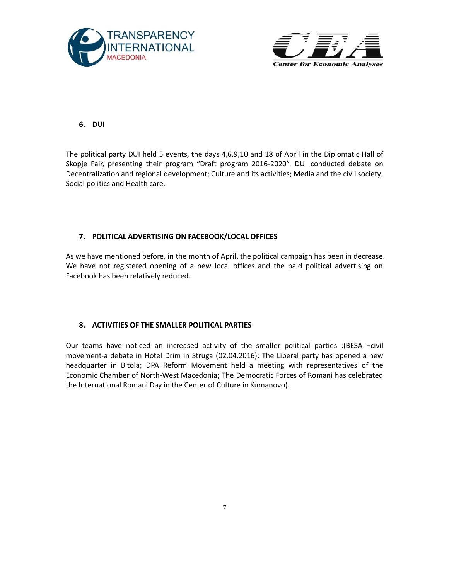



# **6. DUI**

The political party DUI held 5 events, the days 4,6,9,10 and 18 of April in the Diplomatic Hall of Skopje Fair, presenting their program "Draft program 2016-2020". DUI conducted debate on Decentralization and regional development; Culture and its activities; Media and the civil society; Social politics and Health care.

# **7. POLITICAL ADVERTISING ON FACEBOOK/LOCAL OFFICES**

As we have mentioned before, in the month of April, the political campaign has been in decrease. We have not registered opening of a new local offices and the paid political advertising on Facebook has been relatively reduced.

## **8. ACTIVITIES OF THE SMALLER POLITICAL PARTIES**

Our teams have noticed an increased activity of the smaller political parties :(BESA –civil movement-a debate in Hotel Drim in Struga (02.04.2016); The Liberal party has opened a new headquarter in Bitola; DPA Reform Movement held a meeting with representatives of the Economic Chamber of North-West Macedonia; The Democratic Forces of Romani has celebrated the International Romani Day in the Center of Culture in Kumanovo).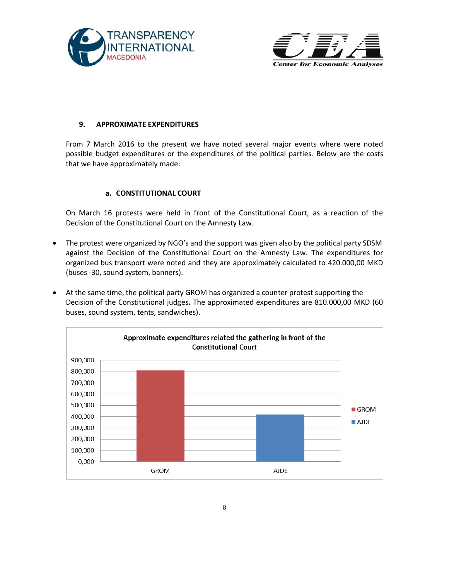



#### **9. APPROXIMATE EXPENDITURES**

From 7 March 2016 to the present we have noted several major events where were noted possible budget expenditures or the expenditures of the political parties. Below are the costs that we have approximately made:

#### **a. CONSTITUTIONAL COURT**

On March 16 protests were held in front of the Constitutional Court, as a reaction of the Decision of the Constitutional Court on the Amnesty Law.

- The protest were organized by NGO's and the support was given also by the political party SDSM against the Decision of the Constitutional Court on the Amnesty Law. The expenditures for organized bus transport were noted and they are approximately calculated to 420.000,00 MKD (buses -30, sound system, banners).
- At the same time, the political party GROM has organized a counter protest supporting the Decision of the Constitutional judges**.** The approximated expenditures are 810.000,00 MKD (60 buses, sound system, tents, sandwiches).

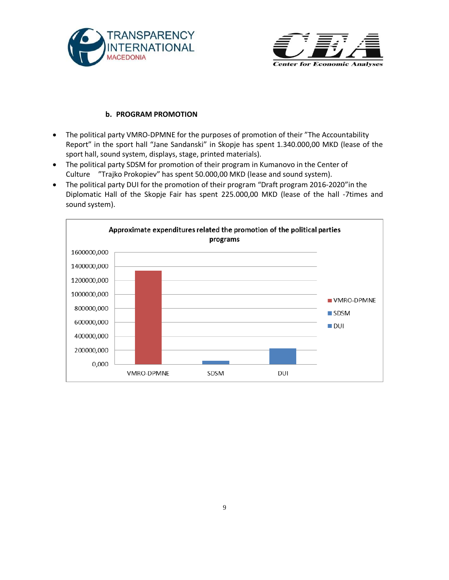



# **b. PROGRAM PROMOTION**

- The political party VMRO-DPMNE for the purposes of promotion of their "The Accountability Report" in the sport hall "Jane Sandanski" in Skopje has spent 1.340.000,00 MKD (lease of the sport hall, sound system, displays, stage, printed materials).
- The political party SDSM for promotion of their program in Kumanovo in the Center of Culture "Trajko Prokopiev" has spent 50.000,00 MKD (lease and sound system).
- The political party DUI for the promotion of their program "Draft program 2016-2020"in the Diplomatic Hall of the Skopje Fair has spent 225.000,00 MKD (lease of the hall -7times and sound system).

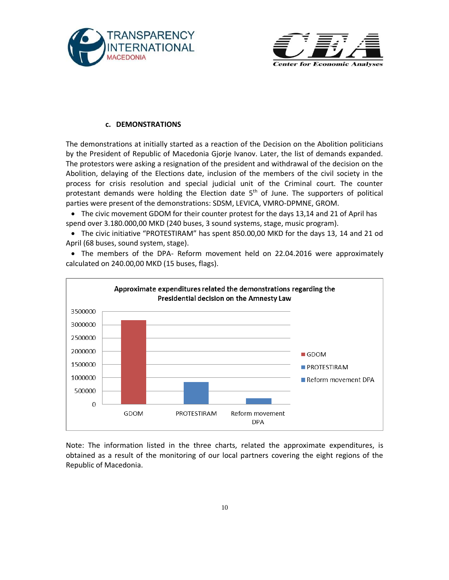



#### **c. DEMONSTRATIONS**

The demonstrations at initially started as a reaction of the Decision on the Abolition politicians by the President of Republic of Macedonia Gjorje Ivanov. Later, the list of demands expanded. The protestors were asking a resignation of the president and withdrawal of the decision on the Abolition, delaying of the Elections date, inclusion of the members of the civil society in the process for crisis resolution and special judicial unit of the Criminal court. The counter protestant demands were holding the Election date  $5<sup>th</sup>$  of June. The supporters of political parties were present of the demonstrations: SDSM, LEVICA, VMRO-DPMNE, GROM.

• The civic movement GDOM for their counter protest for the days 13,14 and 21 of April has spend over 3.180.000,00 MKD (240 buses, 3 sound systems, stage, music program).

 The civic initiative "PROTESTIRAM" has spent 850.00,00 MKD for the days 13, 14 and 21 od April (68 buses, sound system, stage).

• The members of the DPA- Reform movement held on 22.04.2016 were approximately calculated on 240.00,00 MKD (15 buses, flags).



Note: The information listed in the three charts, related the approximate expenditures, is obtained as a result of the monitoring of our local partners covering the eight regions of the Republic of Macedonia.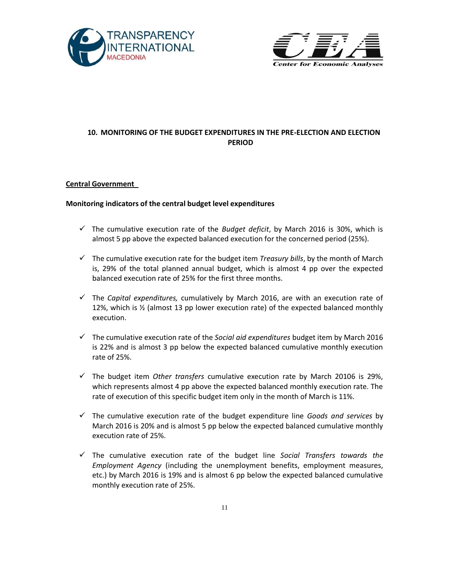



# **10. MONITORING OF THE BUDGET EXPENDITURES IN THE PRE-ELECTION AND ELECTION PERIOD**

#### **Central Government**

#### **Monitoring indicators of the central budget level expenditures**

- $\checkmark$  The cumulative execution rate of the *Budget deficit*, by March 2016 is 30%, which is almost 5 pp above the expected balanced execution for the concerned period (25%).
- $\checkmark$  The cumulative execution rate for the budget item *Treasury bills*, by the month of March is, 29% of the total planned annual budget, which is almost 4 pp over the expected balanced execution rate of 25% for the first three months.
- The *Capital expenditures,* cumulatively by March 2016, are with an execution rate of 12%, which is  $\frac{1}{2}$  (almost 13 pp lower execution rate) of the expected balanced monthly execution.
- The cumulative execution rate of the *Social aid expenditures* budget item by March 2016 is 22% and is almost 3 pp below the expected balanced cumulative monthly execution rate of 25%.
- The budget item *Other transfers* cumulative execution rate by March 20106 is 29%, which represents almost 4 pp above the expected balanced monthly execution rate. The rate of execution of this specific budget item only in the month of March is 11%.
- The cumulative execution rate of the budget expenditure line *Goods and services* by March 2016 is 20% and is almost 5 pp below the expected balanced cumulative monthly execution rate of 25%.
- The cumulative execution rate of the budget line *Social Transfers towards the Employment Agency* (including the unemployment benefits, employment measures, etc.) by March 2016 is 19% and is almost 6 pp below the expected balanced cumulative monthly execution rate of 25%.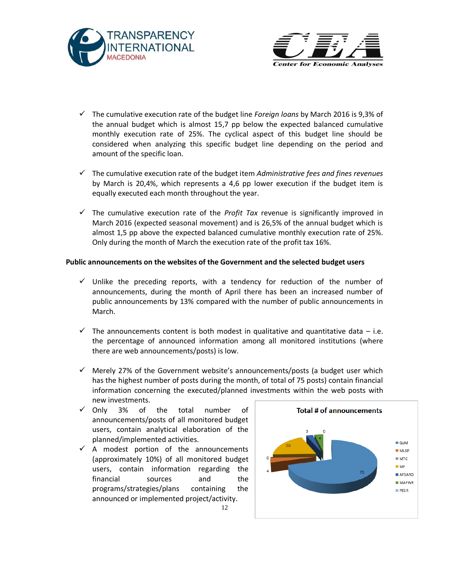



- The cumulative execution rate of the budget line *Foreign loans* by March 2016 is 9,3% of the annual budget which is almost 15,7 pp below the expected balanced cumulative monthly execution rate of 25%. The cyclical aspect of this budget line should be considered when analyzing this specific budget line depending on the period and amount of the specific loan.
- The cumulative execution rate of the budget item *Administrative fees and fines revenues* by March is 20,4%, which represents a 4,6 pp lower execution if the budget item is equally executed each month throughout the year.
- $\checkmark$  The cumulative execution rate of the *Profit Tax* revenue is significantly improved in March 2016 (expected seasonal movement) and is 26,5% of the annual budget which is almost 1,5 pp above the expected balanced cumulative monthly execution rate of 25%. Only during the month of March the execution rate of the profit tax 16%.

#### **Public announcements on the websites of the Government and the selected budget users**

- $\checkmark$  Unlike the preceding reports, with a tendency for reduction of the number of announcements, during the month of April there has been an increased number of public announcements by 13% compared with the number of public announcements in March.
- $\checkmark$  The announcements content is both modest in qualitative and quantitative data i.e. the percentage of announced information among all monitored institutions (where there are web announcements/posts) is low.
- $\checkmark$  Merely 27% of the Government website's announcements/posts (a budget user which has the highest number of posts during the month, of total of 75 posts) contain financial information concerning the executed/planned investments within the web posts with

12

- new investments.<br>  $\checkmark$  Only 3% of 3% of the total number of announcements/posts of all monitored budget users, contain analytical elaboration of the planned/implemented activities.
- $\checkmark$  A modest portion of the announcements (approximately 10%) of all monitored budget users, contain information regarding the financial sources and the programs/strategies/plans containing the announced or implemented project/activity.

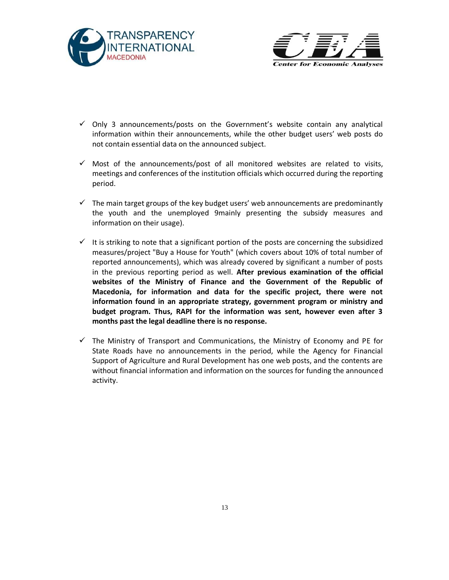



- $\checkmark$  Only 3 announcements/posts on the Government's website contain any analytical information within their announcements, while the other budget users' web posts do not contain essential data on the announced subject.
- $\checkmark$  Most of the announcements/post of all monitored websites are related to visits, meetings and conferences of the institution officials which occurred during the reporting period.
- $\checkmark$  The main target groups of the key budget users' web announcements are predominantly the youth and the unemployed 9mainly presenting the subsidy measures and information on their usage).
- $\checkmark$  It is striking to note that a significant portion of the posts are concerning the subsidized measures/project "Buy a House for Youth" (which covers about 10% of total number of reported announcements), which was already covered by significant a number of posts in the previous reporting period as well. **After previous examination of the official websites of the Ministry of Finance and the Government of the Republic of Macedonia, for information and data for the specific project, there were not information found in an appropriate strategy, government program or ministry and budget program. Thus, RAPI for the information was sent, however even after 3 months past the legal deadline there is no response.**
- $\checkmark$  The Ministry of Transport and Communications, the Ministry of Economy and PE for State Roads have no announcements in the period, while the Agency for Financial Support of Agriculture and Rural Development has one web posts, and the contents are without financial information and information on the sources for funding the announced activity.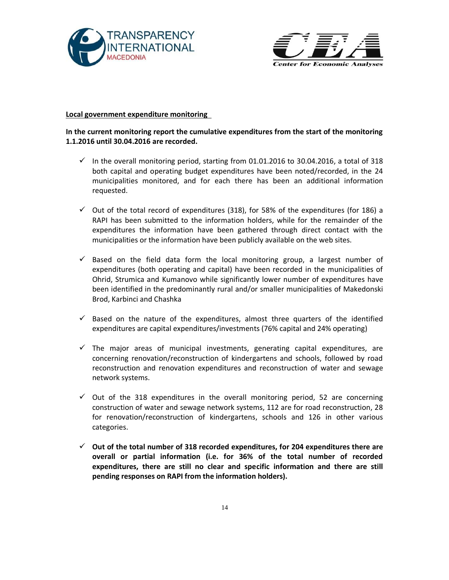



#### **Local government expenditure monitoring**

# **In the current monitoring report the cumulative expenditures from the start of the monitoring 1.1.2016 until 30.04.2016 are recorded.**

- $\checkmark$  In the overall monitoring period, starting from 01.01.2016 to 30.04.2016, a total of 318 both capital and operating budget expenditures have been noted/recorded, in the 24 municipalities monitored, and for each there has been an additional information requested.
- $\checkmark$  Out of the total record of expenditures (318), for 58% of the expenditures (for 186) a RAPI has been submitted to the information holders, while for the remainder of the expenditures the information have been gathered through direct contact with the municipalities or the information have been publicly available on the web sites.
- $\checkmark$  Based on the field data form the local monitoring group, a largest number of expenditures (both operating and capital) have been recorded in the municipalities of Ohrid, Strumica and Kumanovo while significantly lower number of expenditures have been identified in the predominantly rural and/or smaller municipalities of Makedonski Brod, Karbinci and Chashka
- $\checkmark$  Based on the nature of the expenditures, almost three quarters of the identified expenditures are capital expenditures/investments (76% capital and 24% operating)
- $\checkmark$  The major areas of municipal investments, generating capital expenditures, are concerning renovation/reconstruction of kindergartens and schools, followed by road reconstruction and renovation expenditures and reconstruction of water and sewage network systems.
- $\checkmark$  Out of the 318 expenditures in the overall monitoring period, 52 are concerning construction of water and sewage network systems, 112 are for road reconstruction, 28 for renovation/reconstruction of kindergartens, schools and 126 in other various categories.
- **Out of the total number of 318 recorded expenditures, for 204 expenditures there are overall or partial information (i.e. for 36% of the total number of recorded expenditures, there are still no clear and specific information and there are still pending responses on RAPI from the information holders).**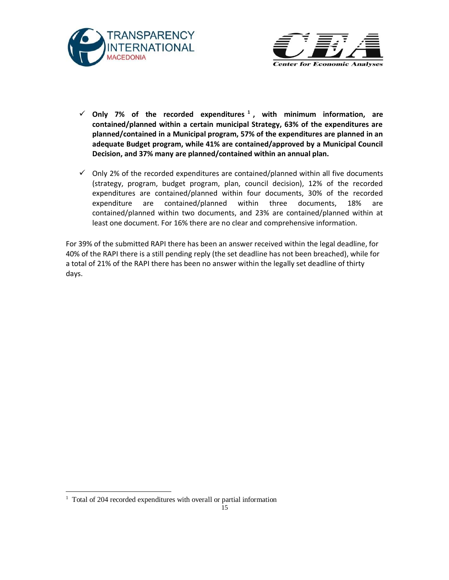



- **Only 7% of the recorded expenditures <sup>1</sup> , with minimum information, are contained/planned within a certain municipal Strategy, 63% of the expenditures are planned/contained in a Municipal program, 57% of the expenditures are planned in an adequate Budget program, while 41% are contained/approved by a Municipal Council Decision, and 37% many are planned/contained within an annual plan.**
- $\checkmark$  Only 2% of the recorded expenditures are contained/planned within all five documents (strategy, program, budget program, plan, council decision), 12% of the recorded expenditures are contained/planned within four documents, 30% of the recorded expenditure are contained/planned within three documents, 18% are contained/planned within two documents, and 23% are contained/planned within at least one document. For 16% there are no clear and comprehensive information.

For 39% of the submitted RAPI there has been an answer received within the legal deadline, for 40% of the RAPI there is a still pending reply (the set deadline has not been breached), while for a total of 21% of the RAPI there has been no answer within the legally set deadline of thirty days.

l

<sup>&</sup>lt;sup>1</sup> Total of 204 recorded expenditures with overall or partial information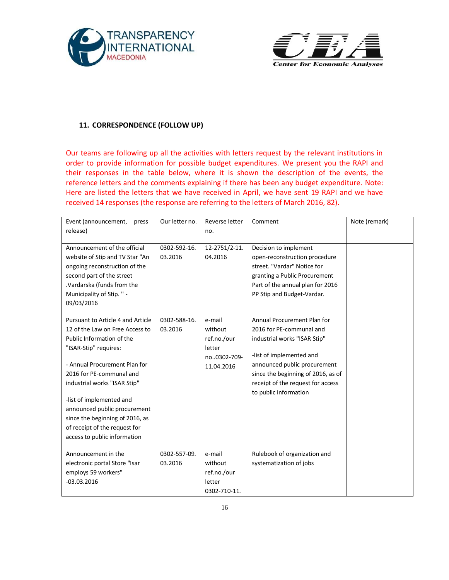



#### **11. CORRESPONDENCE (FOLLOW UP)**

Our teams are following up all the activities with letters request by the relevant institutions in order to provide information for possible budget expenditures. We present you the RAPI and their responses in the table below, where it is shown the description of the events, the reference letters and the comments explaining if there has been any budget expenditure. Note: Here are listed the letters that we have received in April, we have sent 19 RAPI and we have received 14 responses (the response are referring to the letters of March 2016, 82).

| Event (announcement,<br>press<br>release)                                                                                                                                                                                                                                                                                                                                               | Our letter no.          | Reverse letter<br>no.                                                   | Comment                                                                                                                                                                                                                                                 | Note (remark) |
|-----------------------------------------------------------------------------------------------------------------------------------------------------------------------------------------------------------------------------------------------------------------------------------------------------------------------------------------------------------------------------------------|-------------------------|-------------------------------------------------------------------------|---------------------------------------------------------------------------------------------------------------------------------------------------------------------------------------------------------------------------------------------------------|---------------|
|                                                                                                                                                                                                                                                                                                                                                                                         |                         |                                                                         |                                                                                                                                                                                                                                                         |               |
| Announcement of the official<br>website of Stip and TV Star "An<br>ongoing reconstruction of the<br>second part of the street<br>.Vardarska (funds from the                                                                                                                                                                                                                             | 0302-592-16.<br>03.2016 | 12-2751/2-11.<br>04.2016                                                | Decision to implement<br>open-reconstruction procedure<br>street. "Vardar" Notice for<br>granting a Public Procurement<br>Part of the annual plan for 2016                                                                                              |               |
| Municipality of Stip. " -<br>09/03/2016                                                                                                                                                                                                                                                                                                                                                 |                         |                                                                         | PP Stip and Budget-Vardar.                                                                                                                                                                                                                              |               |
| Pursuant to Article 4 and Article<br>12 of the Law on Free Access to<br>Public Information of the<br>"ISAR-Stip" requires:<br>- Annual Procurement Plan for<br>2016 for PE-communal and<br>industrial works "ISAR Stip"<br>-list of implemented and<br>announced public procurement<br>since the beginning of 2016, as<br>of receipt of the request for<br>access to public information | 0302-588-16.<br>03.2016 | e-mail<br>without<br>ref.no./our<br>letter<br>no0302-709-<br>11.04.2016 | Annual Procurement Plan for<br>2016 for PE-communal and<br>industrial works "ISAR Stip"<br>-list of implemented and<br>announced public procurement<br>since the beginning of 2016, as of<br>receipt of the request for access<br>to public information |               |
| Announcement in the<br>electronic portal Store "Isar<br>employs 59 workers"<br>$-03.03.2016$                                                                                                                                                                                                                                                                                            | 0302-557-09.<br>03.2016 | e-mail<br>without<br>ref.no./our<br>letter<br>0302-710-11.              | Rulebook of organization and<br>systematization of jobs                                                                                                                                                                                                 |               |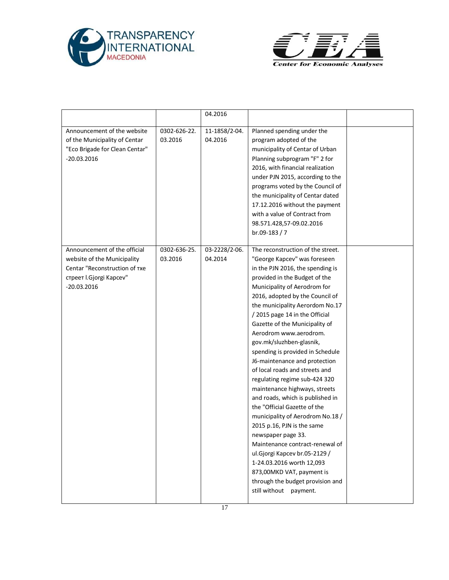



|                                                                                                                                          |                         | 04.2016                  |                                                                                                                                                                                                                                                                                                                                                                                                                                                                                                                                                                                                                                                                                                                                                                                                                                                                                                         |  |
|------------------------------------------------------------------------------------------------------------------------------------------|-------------------------|--------------------------|---------------------------------------------------------------------------------------------------------------------------------------------------------------------------------------------------------------------------------------------------------------------------------------------------------------------------------------------------------------------------------------------------------------------------------------------------------------------------------------------------------------------------------------------------------------------------------------------------------------------------------------------------------------------------------------------------------------------------------------------------------------------------------------------------------------------------------------------------------------------------------------------------------|--|
| Announcement of the website<br>of the Municipality of Centar<br>"Eco Brigade for Clean Centar"<br>$-20.03.2016$                          | 0302-626-22.<br>03.2016 | 11-1858/2-04.<br>04.2016 | Planned spending under the<br>program adopted of the<br>municipality of Centar of Urban<br>Planning subprogram "F" 2 for<br>2016, with financial realization<br>under PJN 2015, according to the<br>programs voted by the Council of<br>the municipality of Centar dated<br>17.12.2016 without the payment<br>with a value of Contract from<br>98.571.428,57-09.02.2016<br>br.09-183 / 7                                                                                                                                                                                                                                                                                                                                                                                                                                                                                                                |  |
| Announcement of the official<br>website of the Municipality<br>Centar "Reconstruction of Txe<br>стреет I.Gjorgi Kapcev"<br>$-20.03.2016$ | 0302-636-25.<br>03.2016 | 03-2228/2-06.<br>04.2014 | The reconstruction of the street.<br>"George Kapcev" was foreseen<br>in the PJN 2016, the spending is<br>provided in the Budget of the<br>Municipality of Aerodrom for<br>2016, adopted by the Council of<br>the municipality Aerordom No.17<br>/ 2015 page 14 in the Official<br>Gazette of the Municipality of<br>Aerodrom www.aerodrom.<br>gov.mk/sluzhben-glasnik,<br>spending is provided in Schedule<br>J6-maintenance and protection<br>of local roads and streets and<br>regulating regime sub-424 320<br>maintenance highways, streets<br>and roads, which is published in<br>the "Official Gazette of the<br>municipality of Aerodrom No.18 /<br>2015 p.16, PJN is the same<br>newspaper page 33.<br>Maintenance contract-renewal of<br>ul.Gjorgi Kapcev br.05-2129 /<br>1-24.03.2016 worth 12,093<br>873,00MKD VAT, payment is<br>through the budget provision and<br>still without payment. |  |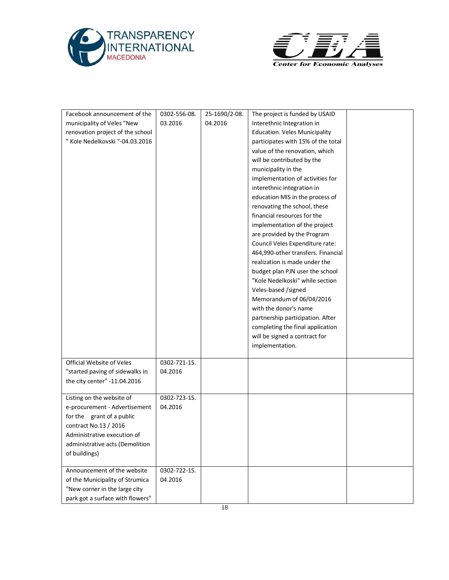



| Facebook announcement of the     | 0302-556-08.            | 25-1690/2-08. | The project is funded by USAID       |  |
|----------------------------------|-------------------------|---------------|--------------------------------------|--|
| municipality of Veles "New       | 03.2016                 | 04.2016       | Interethnic Integration in           |  |
| renovation project of the school |                         |               | <b>Education. Veles Municipality</b> |  |
| " Kole Nedelkovski "-04.03.2016  |                         |               | participates with 15% of the total   |  |
|                                  |                         |               | value of the renovation, which       |  |
|                                  |                         |               | will be contributed by the           |  |
|                                  |                         |               | municipality in the                  |  |
|                                  |                         |               | implementation of activities for     |  |
|                                  |                         |               | interethnic integration in           |  |
|                                  |                         |               | education MIS in the process of      |  |
|                                  |                         |               | renovating the school, these         |  |
|                                  |                         |               | financial resources for the          |  |
|                                  |                         |               | implementation of the project        |  |
|                                  |                         |               | are provided by the Program          |  |
|                                  |                         |               | Council Veles Expenditure rate:      |  |
|                                  |                         |               | 464,990-other transfers. Financial   |  |
|                                  |                         |               | realization is made under the        |  |
|                                  |                         |               | budget plan PJN user the school      |  |
|                                  |                         |               | "Kole Nedelkoski" while section      |  |
|                                  |                         |               | Veles-based /signed                  |  |
|                                  |                         |               | Memorandum of 06/04/2016             |  |
|                                  |                         |               | with the donor's name                |  |
|                                  |                         |               | partnership participation. After     |  |
|                                  |                         |               | completing the final application     |  |
|                                  |                         |               | will be signed a contract for        |  |
|                                  |                         |               | implementation.                      |  |
|                                  |                         |               |                                      |  |
| Official Website of Veles        | 0302-721-15.            |               |                                      |  |
| "started paving of sidewalks in  | 04.2016                 |               |                                      |  |
| the city center" -11.04.2016     |                         |               |                                      |  |
|                                  |                         |               |                                      |  |
| Listing on the website of        | 0302-723-15.            |               |                                      |  |
| e-procurement - Advertisement    | 04.2016                 |               |                                      |  |
| for the grant of a public        |                         |               |                                      |  |
| contract No.13 / 2016            |                         |               |                                      |  |
| Administrative execution of      |                         |               |                                      |  |
| administrative acts (Demolition  |                         |               |                                      |  |
| of buildings)                    |                         |               |                                      |  |
| Announcement of the website      |                         |               |                                      |  |
| of the Municipality of Strumica  | 0302-722-15.<br>04.2016 |               |                                      |  |
| "New corner in the large city    |                         |               |                                      |  |
|                                  |                         |               |                                      |  |
| park got a surface with flowers" |                         |               |                                      |  |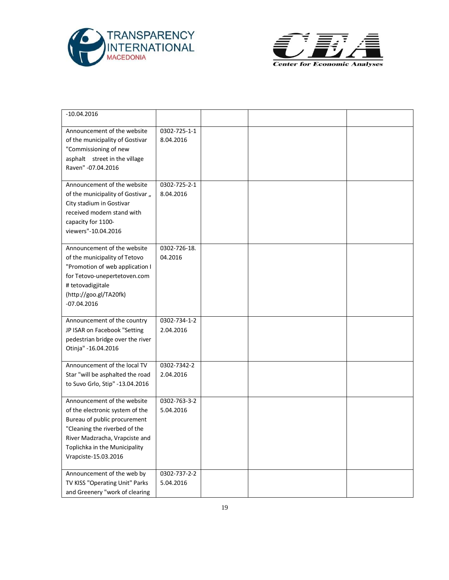



| $-10.04.2016$                                                                                                                                                                                                              |                           |  |  |
|----------------------------------------------------------------------------------------------------------------------------------------------------------------------------------------------------------------------------|---------------------------|--|--|
| Announcement of the website<br>of the municipality of Gostivar<br>"Commissioning of new<br>asphalt street in the village<br>Raven" - 07.04.2016                                                                            | 0302-725-1-1<br>8.04.2016 |  |  |
| Announcement of the website<br>of the municipality of Gostivar "<br>City stadium in Gostivar<br>received modern stand with<br>capacity for 1100-<br>viewers"-10.04.2016                                                    | 0302-725-2-1<br>8.04.2016 |  |  |
| Announcement of the website<br>of the municipality of Tetovo<br>"Promotion of web application I<br>for Tetovo-unepertetoven.com<br># tetovadigjitale<br>(http://goo.gl/TA20fk)<br>$-07.04.2016$                            | 0302-726-18.<br>04.2016   |  |  |
| Announcement of the country<br>JP ISAR on Facebook "Setting<br>pedestrian bridge over the river<br>Otinja" - 16.04.2016                                                                                                    | 0302-734-1-2<br>2.04.2016 |  |  |
| Announcement of the local TV<br>Star "will be asphalted the road<br>to Suvo Grlo, Stip" -13.04.2016                                                                                                                        | 0302-7342-2<br>2.04.2016  |  |  |
| Announcement of the website<br>of the electronic system of the<br>Bureau of public procurement<br>"Cleaning the riverbed of the<br>River Madzracha, Vrapciste and<br>Toplichka in the Municipality<br>Vrapciste-15.03.2016 | 0302-763-3-2<br>5.04.2016 |  |  |
| Announcement of the web by<br>TV KISS "Operating Unit" Parks<br>and Greenery "work of clearing                                                                                                                             | 0302-737-2-2<br>5.04.2016 |  |  |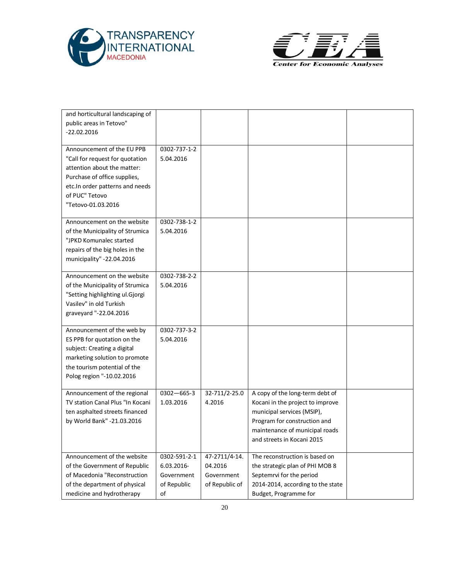



| and horticultural landscaping of |                  |                |                                   |  |
|----------------------------------|------------------|----------------|-----------------------------------|--|
| public areas in Tetovo"          |                  |                |                                   |  |
| $-22.02.2016$                    |                  |                |                                   |  |
|                                  |                  |                |                                   |  |
| Announcement of the EU PPB       | 0302-737-1-2     |                |                                   |  |
| "Call for request for quotation  | 5.04.2016        |                |                                   |  |
| attention about the matter:      |                  |                |                                   |  |
| Purchase of office supplies,     |                  |                |                                   |  |
| etc.In order patterns and needs  |                  |                |                                   |  |
| of PUC" Tetovo                   |                  |                |                                   |  |
| "Tetovo-01.03.2016               |                  |                |                                   |  |
|                                  |                  |                |                                   |  |
| Announcement on the website      | 0302-738-1-2     |                |                                   |  |
| of the Municipality of Strumica  | 5.04.2016        |                |                                   |  |
| "JPKD Komunalec started          |                  |                |                                   |  |
| repairs of the big holes in the  |                  |                |                                   |  |
| municipality" -22.04.2016        |                  |                |                                   |  |
|                                  |                  |                |                                   |  |
| Announcement on the website      | 0302-738-2-2     |                |                                   |  |
| of the Municipality of Strumica  | 5.04.2016        |                |                                   |  |
| "Setting highlighting ul.Gjorgi  |                  |                |                                   |  |
| Vasilev" in old Turkish          |                  |                |                                   |  |
| graveyard "-22.04.2016           |                  |                |                                   |  |
|                                  |                  |                |                                   |  |
| Announcement of the web by       | 0302-737-3-2     |                |                                   |  |
| ES PPB for quotation on the      | 5.04.2016        |                |                                   |  |
| subject: Creating a digital      |                  |                |                                   |  |
| marketing solution to promote    |                  |                |                                   |  |
| the tourism potential of the     |                  |                |                                   |  |
| Polog region "-10.02.2016        |                  |                |                                   |  |
|                                  |                  |                |                                   |  |
| Announcement of the regional     | $0302 - 665 - 3$ | 32-711/2-25.0  | A copy of the long-term debt of   |  |
| TV station Canal Plus "In Kocani | 1.03.2016        | 4.2016         | Kocani in the project to improve  |  |
| ten asphalted streets financed   |                  |                | municipal services (MSIP),        |  |
| by World Bank" -21.03.2016       |                  |                | Program for construction and      |  |
|                                  |                  |                | maintenance of municipal roads    |  |
|                                  |                  |                | and streets in Kocani 2015        |  |
| Announcement of the website      | 0302-591-2-1     | 47-2711/4-14.  | The reconstruction is based on    |  |
| of the Government of Republic    | 6.03.2016-       | 04.2016        | the strategic plan of PHI MOB 8   |  |
| of Macedonia "Reconstruction     | Government       | Government     | Septemrvi for the period          |  |
| of the department of physical    | of Republic      | of Republic of | 2014-2014, according to the state |  |
|                                  |                  |                |                                   |  |
| medicine and hydrotherapy        | of               |                | Budget, Programme for             |  |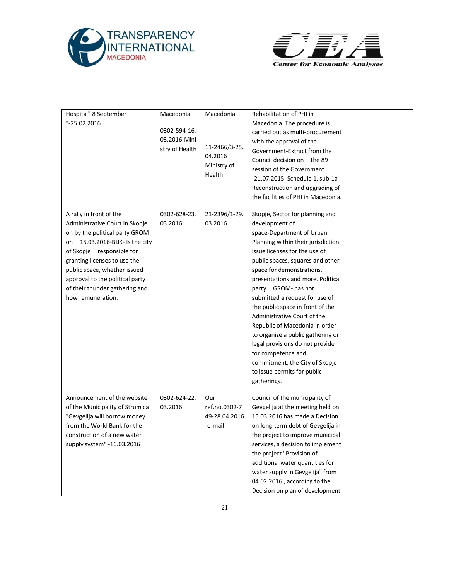



| Hospital" 8 September<br>"-25.02.2016                                                                                                                                                                                                                                                                                    | Macedonia<br>0302-594-16.<br>03.2016-Mini<br>stry of Health | Macedonia<br>11-2466/3-25.<br>04.2016<br>Ministry of<br>Health | Rehabilitation of PHI in<br>Macedonia. The procedure is<br>carried out as multi-procurement<br>with the approval of the<br>Government-Extract from the<br>Council decision on the 89<br>session of the Government<br>-21.07.2015. Schedule 1, sub-1a<br>Reconstruction and upgrading of<br>the facilities of PHI in Macedonia.                                                                                                                                                                                                                                                                          |  |
|--------------------------------------------------------------------------------------------------------------------------------------------------------------------------------------------------------------------------------------------------------------------------------------------------------------------------|-------------------------------------------------------------|----------------------------------------------------------------|---------------------------------------------------------------------------------------------------------------------------------------------------------------------------------------------------------------------------------------------------------------------------------------------------------------------------------------------------------------------------------------------------------------------------------------------------------------------------------------------------------------------------------------------------------------------------------------------------------|--|
| A rally in front of the<br>Administrative Court in Skopje<br>on by the political party GROM<br>15.03.2016-BIJK- Is the city<br>on<br>of Skopje responsible for<br>granting licenses to use the<br>public space, whether issued<br>approval to the political party<br>of their thunder gathering and<br>how remuneration. | 0302-628-23.<br>03.2016                                     | 21-2396/1-29.<br>03.2016                                       | Skopje, Sector for planning and<br>development of<br>space-Department of Urban<br>Planning within their jurisdiction<br>issue licenses for the use of<br>public spaces, squares and other<br>space for demonstrations,<br>presentations and more. Political<br>party GROM- has not<br>submitted a request for use of<br>the public space in front of the<br>Administrative Court of the<br>Republic of Macedonia in order<br>to organize a public gathering or<br>legal provisions do not provide<br>for competence and<br>commitment, the City of Skopje<br>to issue permits for public<br>gatherings. |  |
| Announcement of the website<br>of the Municipality of Strumica<br>"Gevgelija will borrow money<br>from the World Bank for the<br>construction of a new water<br>supply system" -16.03.2016                                                                                                                               | 0302-624-22.<br>03.2016                                     | Our<br>ref.no.0302-7<br>49-28.04.2016<br>-e-mail               | Council of the municipality of<br>Gevgelija at the meeting held on<br>15.03.2016 has made a Decision<br>on long-term debt of Gevgelija in<br>the project to improve municipal<br>services, a decision to implement<br>the project "Provision of<br>additional water quantities for<br>water supply in Gevgelija" from<br>04.02.2016, according to the<br>Decision on plan of development                                                                                                                                                                                                                |  |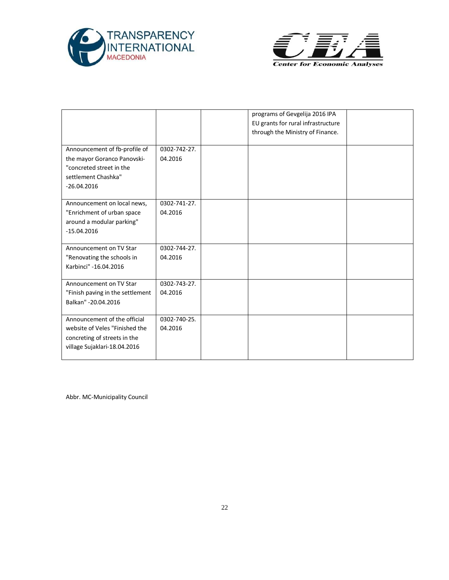



|                                                                                                                                  |                         | programs of Gevgelija 2016 IPA<br>EU grants for rural infrastructure<br>through the Ministry of Finance. |  |
|----------------------------------------------------------------------------------------------------------------------------------|-------------------------|----------------------------------------------------------------------------------------------------------|--|
| Announcement of fb-profile of<br>the mayor Goranco Panovski-<br>"concreted street in the<br>settlement Chashka"<br>$-26.04.2016$ | 0302-742-27.<br>04.2016 |                                                                                                          |  |
| Announcement on local news,<br>"Enrichment of urban space<br>around a modular parking"<br>$-15.04.2016$                          | 0302-741-27.<br>04.2016 |                                                                                                          |  |
| Announcement on TV Star<br>"Renovating the schools in<br>Karbinci" -16.04.2016                                                   | 0302-744-27.<br>04.2016 |                                                                                                          |  |
| Announcement on TV Star<br>"Finish paving in the settlement<br>Balkan" - 20.04.2016                                              | 0302-743-27.<br>04.2016 |                                                                                                          |  |
| Announcement of the official<br>website of Veles "Finished the<br>concreting of streets in the<br>village Sujaklari-18.04.2016   | 0302-740-25.<br>04.2016 |                                                                                                          |  |

Abbr. MC-Municipality Council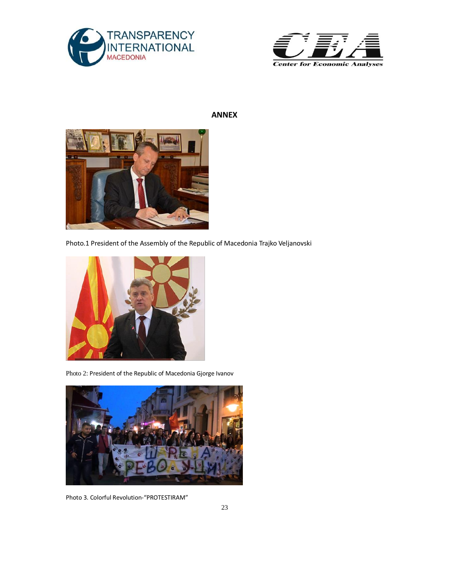



# **ANNEX**



Photo.1 President of the Assembly of the Republic of Macedonia Trajko Veljanovski



Photo 2: President of the Republic of Macedonia Gjorge Ivanov



Photo 3. Colorful Revolution-"PROTESTIRAM"